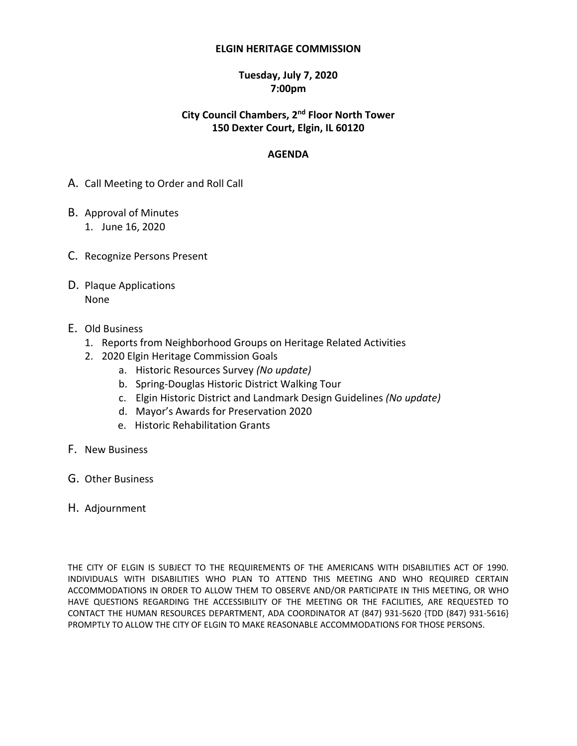#### **ELGIN HERITAGE COMMISSION**

### **Tuesday, July 7, 2020 7:00pm**

# **City Council Chambers, 2<sup>nd</sup> Floor North Tower 150 Dexter Court, Elgin, IL 60120**

### **AGENDA**

- A. Call Meeting to Order and Roll Call
- B. Approval of Minutes 1. June 16, 2020
- C. Recognize Persons Present
- D. Plaque Applications None
- E. Old Business
	- 1. Reports from Neighborhood Groups on Heritage Related Activities
	- 2. 2020 Elgin Heritage Commission Goals
		- a. Historic Resources Survey *(No update)*
		- b. Spring-Douglas Historic District Walking Tour
		- c. Elgin Historic District and Landmark Design Guidelines *(No update)*
		- d. Mayor's Awards for Preservation 2020
		- e. Historic Rehabilitation Grants
- F. New Business
- G. Other Business
- H. Adjournment

THE CITY OF ELGIN IS SUBJECT TO THE REQUIREMENTS OF THE AMERICANS WITH DISABILITIES ACT OF 1990. INDIVIDUALS WITH DISABILITIES WHO PLAN TO ATTEND THIS MEETING AND WHO REQUIRED CERTAIN ACCOMMODATIONS IN ORDER TO ALLOW THEM TO OBSERVE AND/OR PARTICIPATE IN THIS MEETING, OR WHO HAVE QUESTIONS REGARDING THE ACCESSIBILITY OF THE MEETING OR THE FACILITIES, ARE REQUESTED TO CONTACT THE HUMAN RESOURCES DEPARTMENT, ADA COORDINATOR AT (847) 931-5620 {TDD (847) 931-5616} PROMPTLY TO ALLOW THE CITY OF ELGIN TO MAKE REASONABLE ACCOMMODATIONS FOR THOSE PERSONS.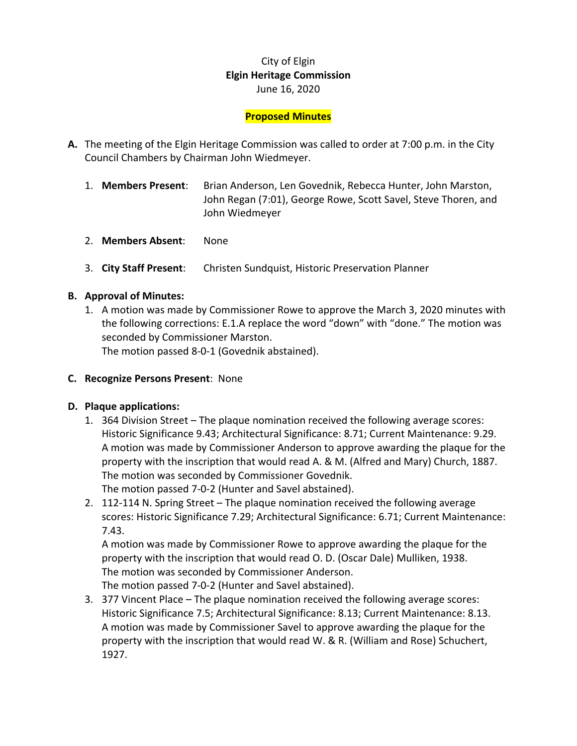# City of Elgin **Elgin Heritage Commission**  June 16, 2020

# **Proposed Minutes**

- **A.** The meeting of the Elgin Heritage Commission was called to order at 7:00 p.m. in the City Council Chambers by Chairman John Wiedmeyer.
	- 1. **Members Present**: Brian Anderson, Len Govednik, Rebecca Hunter, John Marston, John Regan (7:01), George Rowe, Scott Savel, Steve Thoren, and John Wiedmeyer
	- 2. **Members Absent**: None
	- 3. **City Staff Present**: Christen Sundquist, Historic Preservation Planner

### **B. Approval of Minutes:**

1. A motion was made by Commissioner Rowe to approve the March 3, 2020 minutes with the following corrections: E.1.A replace the word "down" with "done." The motion was seconded by Commissioner Marston.

The motion passed 8-0-1 (Govednik abstained).

**C. Recognize Persons Present**: None

#### **D. Plaque applications:**

- 1. 364 Division Street The plaque nomination received the following average scores: Historic Significance 9.43; Architectural Significance: 8.71; Current Maintenance: 9.29. A motion was made by Commissioner Anderson to approve awarding the plaque for the property with the inscription that would read A. & M. (Alfred and Mary) Church, 1887. The motion was seconded by Commissioner Govednik. The motion passed 7-0-2 (Hunter and Savel abstained).
- 2. 112-114 N. Spring Street The plaque nomination received the following average scores: Historic Significance 7.29; Architectural Significance: 6.71; Current Maintenance: 7.43.

A motion was made by Commissioner Rowe to approve awarding the plaque for the property with the inscription that would read O. D. (Oscar Dale) Mulliken, 1938. The motion was seconded by Commissioner Anderson. The motion passed 7-0-2 (Hunter and Savel abstained).

3. 377 Vincent Place – The plaque nomination received the following average scores: Historic Significance 7.5; Architectural Significance: 8.13; Current Maintenance: 8.13. A motion was made by Commissioner Savel to approve awarding the plaque for the property with the inscription that would read W. & R. (William and Rose) Schuchert, 1927.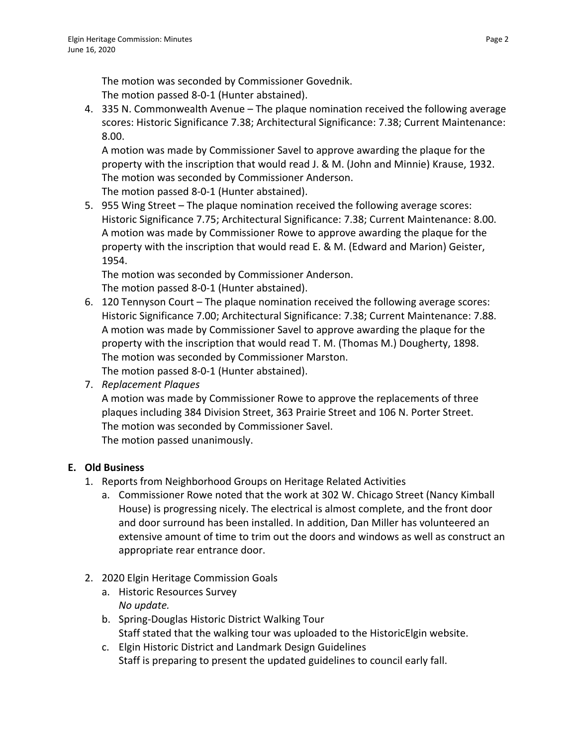The motion was seconded by Commissioner Govednik. The motion passed 8-0-1 (Hunter abstained).

4. 335 N. Commonwealth Avenue – The plaque nomination received the following average scores: Historic Significance 7.38; Architectural Significance: 7.38; Current Maintenance: 8.00.

A motion was made by Commissioner Savel to approve awarding the plaque for the property with the inscription that would read J. & M. (John and Minnie) Krause, 1932. The motion was seconded by Commissioner Anderson. The motion passed 8-0-1 (Hunter abstained).

5. 955 Wing Street – The plaque nomination received the following average scores: Historic Significance 7.75; Architectural Significance: 7.38; Current Maintenance: 8.00. A motion was made by Commissioner Rowe to approve awarding the plaque for the property with the inscription that would read E. & M. (Edward and Marion) Geister, 1954.

The motion was seconded by Commissioner Anderson. The motion passed 8-0-1 (Hunter abstained).

- 6. 120 Tennyson Court The plaque nomination received the following average scores: Historic Significance 7.00; Architectural Significance: 7.38; Current Maintenance: 7.88. A motion was made by Commissioner Savel to approve awarding the plaque for the property with the inscription that would read T. M. (Thomas M.) Dougherty, 1898. The motion was seconded by Commissioner Marston. The motion passed 8-0-1 (Hunter abstained).
- 7. *Replacement Plaques*

A motion was made by Commissioner Rowe to approve the replacements of three plaques including 384 Division Street, 363 Prairie Street and 106 N. Porter Street. The motion was seconded by Commissioner Savel. The motion passed unanimously.

# **E. Old Business**

- 1. Reports from Neighborhood Groups on Heritage Related Activities
	- a. Commissioner Rowe noted that the work at 302 W. Chicago Street (Nancy Kimball House) is progressing nicely. The electrical is almost complete, and the front door and door surround has been installed. In addition, Dan Miller has volunteered an extensive amount of time to trim out the doors and windows as well as construct an appropriate rear entrance door.
- 2. 2020 Elgin Heritage Commission Goals
	- a. Historic Resources Survey *No update.*
	- b. Spring-Douglas Historic District Walking Tour Staff stated that the walking tour was uploaded to the HistoricElgin website.
	- c. Elgin Historic District and Landmark Design Guidelines Staff is preparing to present the updated guidelines to council early fall.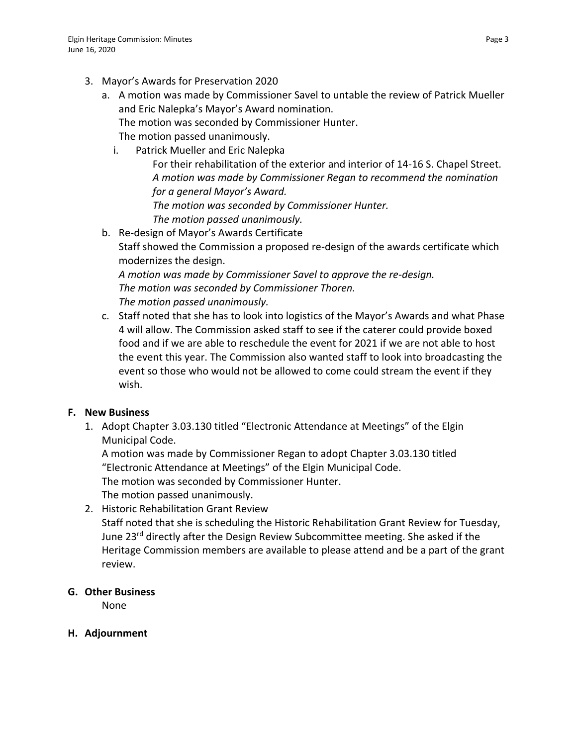- 3. Mayor's Awards for Preservation 2020
	- a. A motion was made by Commissioner Savel to untable the review of Patrick Mueller and Eric Nalepka's Mayor's Award nomination. The motion was seconded by Commissioner Hunter. The motion passed unanimously.
		- i. Patrick Mueller and Eric Nalepka For their rehabilitation of the exterior and interior of 14-16 S. Chapel Street. *A motion was made by Commissioner Regan to recommend the nomination for a general Mayor's Award. The motion was seconded by Commissioner Hunter. The motion passed unanimously.*
	- b. Re-design of Mayor's Awards Certificate Staff showed the Commission a proposed re-design of the awards certificate which modernizes the design.

*A motion was made by Commissioner Savel to approve the re-design. The motion was seconded by Commissioner Thoren. The motion passed unanimously.*

c. Staff noted that she has to look into logistics of the Mayor's Awards and what Phase 4 will allow. The Commission asked staff to see if the caterer could provide boxed food and if we are able to reschedule the event for 2021 if we are not able to host the event this year. The Commission also wanted staff to look into broadcasting the event so those who would not be allowed to come could stream the event if they wish.

# **F. New Business**

1. Adopt Chapter 3.03.130 titled "Electronic Attendance at Meetings" of the Elgin Municipal Code.

A motion was made by Commissioner Regan to adopt Chapter 3.03.130 titled "Electronic Attendance at Meetings" of the Elgin Municipal Code.

The motion was seconded by Commissioner Hunter.

The motion passed unanimously.

2. Historic Rehabilitation Grant Review

Staff noted that she is scheduling the Historic Rehabilitation Grant Review for Tuesday, June 23<sup>rd</sup> directly after the Design Review Subcommittee meeting. She asked if the Heritage Commission members are available to please attend and be a part of the grant review.

# **G. Other Business**

None

# **H. Adjournment**